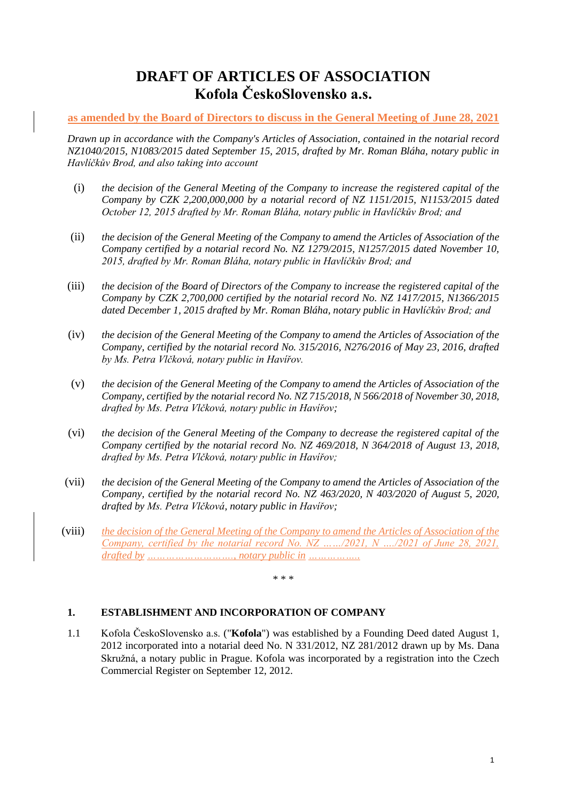# **DRAFT OF ARTICLES OF ASSOCIATION Kofola ČeskoSlovensko a.s.**

## **as amended by the Board of Directors to discuss in the General Meeting of June 28, 2021**

*Drawn up in accordance with the Company's Articles of Association, contained in the notarial record NZ1040/2015, N1083/2015 dated September 15, 2015, drafted by Mr. Roman Bláha, notary public in Havlíčkův Brod, and also taking into account*

- (i) *the decision of the General Meeting of the Company to increase the registered capital of the Company by CZK 2,200,000,000 by a notarial record of NZ 1151/2015, N1153/2015 dated October 12, 2015 drafted by Mr. Roman Bláha, notary public in Havlíčkův Brod; and*
- (ii) *the decision of the General Meeting of the Company to amend the Articles of Association of the Company certified by a notarial record No. NZ 1279/2015, N1257/2015 dated November 10, 2015, drafted by Mr. Roman Bláha, notary public in Havlíčkův Brod; and*
- (iii) *the decision of the Board of Directors of the Company to increase the registered capital of the Company by CZK 2,700,000 certified by the notarial record No. NZ 1417/2015, N1366/2015 dated December 1, 2015 drafted by Mr. Roman Bláha, notary public in Havlíčkův Brod; and*
- (iv) *the decision of the General Meeting of the Company to amend the Articles of Association of the Company, certified by the notarial record No. 315/2016, N276/2016 of May 23, 2016, drafted by Ms. Petra Vlčková, notary public in Havířov.*
- (v) *the decision of the General Meeting of the Company to amend the Articles of Association of the Company, certified by the notarial record No. NZ 715/2018, N 566/2018 of November 30, 2018, drafted by Ms. Petra Vlčková, notary public in Havířov;*
- (vi) *the decision of the General Meeting of the Company to decrease the registered capital of the Company certified by the notarial record No. NZ 469/2018, N 364/2018 of August 13, 2018, drafted by Ms. Petra Vlčková, notary public in Havířov;*
- (vii) *the decision of the General Meeting of the Company to amend the Articles of Association of the Company, certified by the notarial record No. NZ 463/2020, N 403/2020 of August 5, 2020, drafted by Ms. Petra Vlčková, notary public in Havířov;*
- (viii) *the decision of the General Meeting of the Company to amend the Articles of Association of the Company, certified by the notarial record No. NZ ……/2021, N …./2021 of June 28, 2021, drafted by ………………………., notary public in ……………..*

\* \* \*

#### **1. ESTABLISHMENT AND INCORPORATION OF COMPANY**

1.1 Kofola ČeskoSlovensko a.s. ("**Kofola**") was established by a Founding Deed dated August 1, 2012 incorporated into a notarial deed No. N 331/2012, NZ 281/2012 drawn up by Ms. Dana Skružná, a notary public in Prague. Kofola was incorporated by a registration into the Czech Commercial Register on September 12, 2012.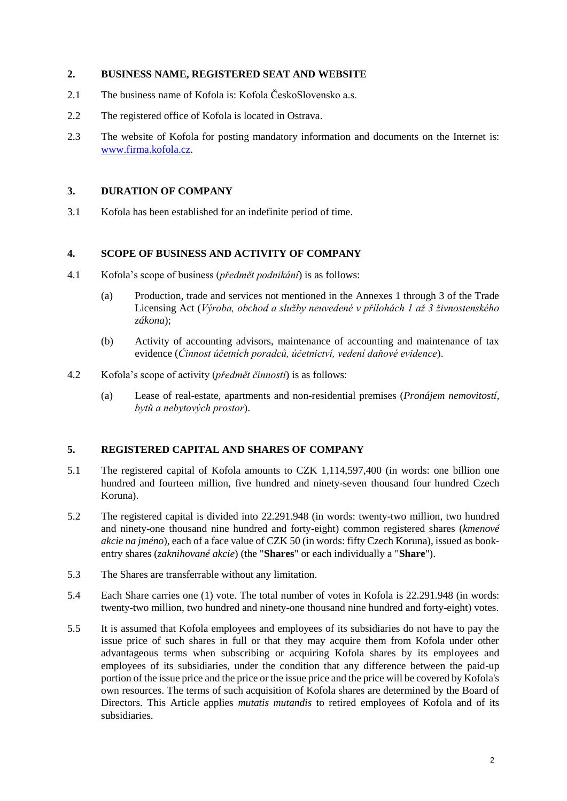#### **2. BUSINESS NAME, REGISTERED SEAT AND WEBSITE**

- 2.1 The business name of Kofola is: Kofola ČeskoSlovensko a.s.
- 2.2 The registered office of Kofola is located in Ostrava.
- 2.3 The website of Kofola for posting mandatory information and documents on the Internet is: [www.firma.kofola.cz.](http://www.firma.kofola.cz/)

## **3. DURATION OF COMPANY**

3.1 Kofola has been established for an indefinite period of time.

#### **4. SCOPE OF BUSINESS AND ACTIVITY OF COMPANY**

- 4.1 Kofola's scope of business (*předmět podnikání*) is as follows:
	- (a) Production, trade and services not mentioned in the Annexes 1 through 3 of the Trade Licensing Act (*Výroba, obchod a služby neuvedené v přílohách 1 až 3 živnostenského zákona*);
	- (b) Activity of accounting advisors, maintenance of accounting and maintenance of tax evidence (*Činnost účetních poradců, účetnictví, vedení daňové evidence*).
- 4.2 Kofola's scope of activity (*předmět činnosti*) is as follows:
	- (a) Lease of real-estate, apartments and non-residential premises (*Pronájem nemovitostí, bytů a nebytových prostor*).

#### **5. REGISTERED CAPITAL AND SHARES OF COMPANY**

- 5.1 The registered capital of Kofola amounts to CZK 1,114,597,400 (in words: one billion one hundred and fourteen million, five hundred and ninety-seven thousand four hundred Czech Koruna).
- 5.2 The registered capital is divided into 22.291.948 (in words: twenty-two million, two hundred and ninety-one thousand nine hundred and forty-eight) common registered shares (*kmenové akcie na jméno*), each of a face value of CZK 50 (in words: fifty Czech Koruna), issued as bookentry shares (*zaknihované akcie*) (the "**Shares**" or each individually a "**Share**").
- 5.3 The Shares are transferrable without any limitation.
- 5.4 Each Share carries one (1) vote. The total number of votes in Kofola is 22.291.948 (in words: twenty-two million, two hundred and ninety-one thousand nine hundred and forty-eight) votes.
- 5.5 It is assumed that Kofola employees and employees of its subsidiaries do not have to pay the issue price of such shares in full or that they may acquire them from Kofola under other advantageous terms when subscribing or acquiring Kofola shares by its employees and employees of its subsidiaries, under the condition that any difference between the paid-up portion of the issue price and the price or the issue price and the price will be covered by Kofola's own resources. The terms of such acquisition of Kofola shares are determined by the Board of Directors. This Article applies *mutatis mutandis* to retired employees of Kofola and of its subsidiaries.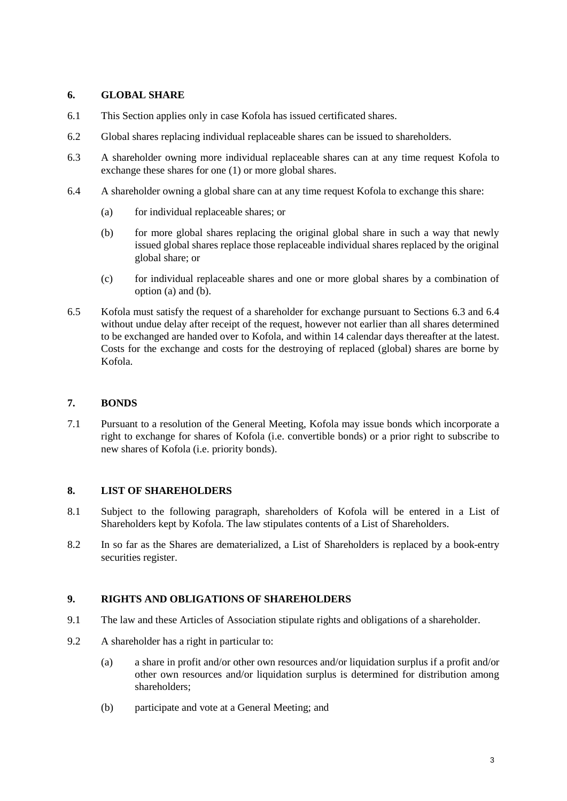## **6. GLOBAL SHARE**

- 6.1 This Section applies only in case Kofola has issued certificated shares.
- 6.2 Global shares replacing individual replaceable shares can be issued to shareholders.
- <span id="page-2-2"></span>6.3 A shareholder owning more individual replaceable shares can at any time request Kofola to exchange these shares for one (1) or more global shares.
- <span id="page-2-3"></span><span id="page-2-1"></span><span id="page-2-0"></span>6.4 A shareholder owning a global share can at any time request Kofola to exchange this share:
	- (a) for individual replaceable shares; or
	- (b) for more global shares replacing the original global share in such a way that newly issued global shares replace those replaceable individual shares replaced by the original global share; or
	- (c) for individual replaceable shares and one or more global shares by a combination of option [\(a\)](#page-2-0) and [\(b\).](#page-2-1)
- 6.5 Kofola must satisfy the request of a shareholder for exchange pursuant to Sections [6.3](#page-2-2) and [6.4](#page-2-3) without undue delay after receipt of the request, however not earlier than all shares determined to be exchanged are handed over to Kofola, and within 14 calendar days thereafter at the latest. Costs for the exchange and costs for the destroying of replaced (global) shares are borne by Kofola.

# **7. BONDS**

7.1 Pursuant to a resolution of the General Meeting, Kofola may issue bonds which incorporate a right to exchange for shares of Kofola (i.e. convertible bonds) or a prior right to subscribe to new shares of Kofola (i.e. priority bonds).

# **8. LIST OF SHAREHOLDERS**

- 8.1 Subject to the following paragraph, shareholders of Kofola will be entered in a List of Shareholders kept by Kofola. The law stipulates contents of a List of Shareholders.
- 8.2 In so far as the Shares are dematerialized, a List of Shareholders is replaced by a book-entry securities register.

#### **9. RIGHTS AND OBLIGATIONS OF SHAREHOLDERS**

- 9.1 The law and these Articles of Association stipulate rights and obligations of a shareholder.
- 9.2 A shareholder has a right in particular to:
	- (a) a share in profit and/or other own resources and/or liquidation surplus if a profit and/or other own resources and/or liquidation surplus is determined for distribution among shareholders;
	- (b) participate and vote at a General Meeting; and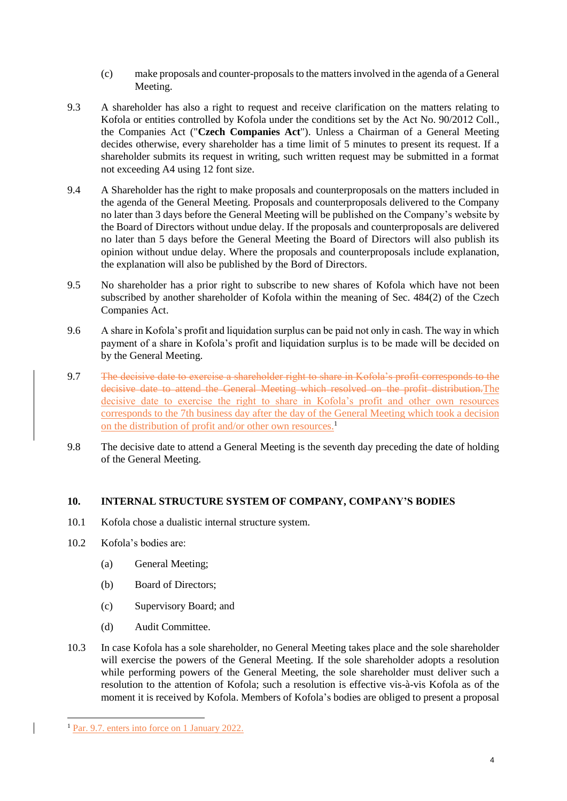- (c) make proposals and counter-proposals to the matters involved in the agenda of a General Meeting.
- 9.3 A shareholder has also a right to request and receive clarification on the matters relating to Kofola or entities controlled by Kofola under the conditions set by the Act No. 90/2012 Coll., the Companies Act ("**Czech Companies Act**"). Unless a Chairman of a General Meeting decides otherwise, every shareholder has a time limit of 5 minutes to present its request. If a shareholder submits its request in writing, such written request may be submitted in a format not exceeding A4 using 12 font size.
- 9.4 A Shareholder has the right to make proposals and counterproposals on the matters included in the agenda of the General Meeting. Proposals and counterproposals delivered to the Company no later than 3 days before the General Meeting will be published on the Company's website by the Board of Directors without undue delay. If the proposals and counterproposals are delivered no later than 5 days before the General Meeting the Board of Directors will also publish its opinion without undue delay. Where the proposals and counterproposals include explanation, the explanation will also be published by the Bord of Directors.
- 9.5 No shareholder has a prior right to subscribe to new shares of Kofola which have not been subscribed by another shareholder of Kofola within the meaning of Sec. 484(2) of the Czech Companies Act.
- 9.6 A share in Kofola's profit and liquidation surplus can be paid not only in cash. The way in which payment of a share in Kofola's profit and liquidation surplus is to be made will be decided on by the General Meeting.
- 9.7 The decisive date to exercise a shareholder right to share in Kofola's profit corresponds to the decisive date to attend the General Meeting which resolved on the profit distribution.The decisive date to exercise the right to share in Kofola's profit and other own resources corresponds to the 7th business day after the day of the General Meeting which took a decision on the distribution of profit and/or other own resources.<sup>1</sup>
- 9.8 The decisive date to attend a General Meeting is the seventh day preceding the date of holding of the General Meeting.

# **10. INTERNAL STRUCTURE SYSTEM OF COMPANY, COMPANY'S BODIES**

- 10.1 Kofola chose a dualistic internal structure system.
- 10.2 Kofola's bodies are:
	- (a) General Meeting;
	- (b) Board of Directors;
	- (c) Supervisory Board; and
	- (d) Audit Committee.
- 10.3 In case Kofola has a sole shareholder, no General Meeting takes place and the sole shareholder will exercise the powers of the General Meeting. If the sole shareholder adopts a resolution while performing powers of the General Meeting, the sole shareholder must deliver such a resolution to the attention of Kofola; such a resolution is effective vis-à-vis Kofola as of the moment it is received by Kofola. Members of Kofola's bodies are obliged to present a proposal

<sup>1</sup> <sup>1</sup> Par. 9.7. enters into force on 1 January 2022.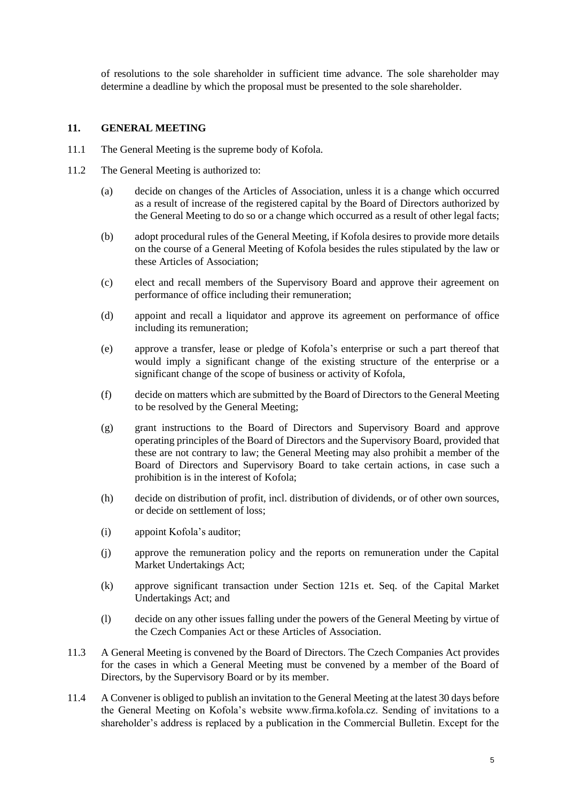of resolutions to the sole shareholder in sufficient time advance. The sole shareholder may determine a deadline by which the proposal must be presented to the sole shareholder.

#### **11. GENERAL MEETING**

- 11.1 The General Meeting is the supreme body of Kofola.
- 11.2 The General Meeting is authorized to:
	- (a) decide on changes of the Articles of Association, unless it is a change which occurred as a result of increase of the registered capital by the Board of Directors authorized by the General Meeting to do so or a change which occurred as a result of other legal facts;
	- (b) adopt procedural rules of the General Meeting, if Kofola desires to provide more details on the course of a General Meeting of Kofola besides the rules stipulated by the law or these Articles of Association;
	- (c) elect and recall members of the Supervisory Board and approve their agreement on performance of office including their remuneration;
	- (d) appoint and recall a liquidator and approve its agreement on performance of office including its remuneration;
	- (e) approve a transfer, lease or pledge of Kofola's enterprise or such a part thereof that would imply a significant change of the existing structure of the enterprise or a significant change of the scope of business or activity of Kofola,
	- (f) decide on matters which are submitted by the Board of Directors to the General Meeting to be resolved by the General Meeting;
	- (g) grant instructions to the Board of Directors and Supervisory Board and approve operating principles of the Board of Directors and the Supervisory Board, provided that these are not contrary to law; the General Meeting may also prohibit a member of the Board of Directors and Supervisory Board to take certain actions, in case such a prohibition is in the interest of Kofola;
	- (h) decide on distribution of profit, incl. distribution of dividends, or of other own sources, or decide on settlement of loss;
	- (i) appoint Kofola's auditor;
	- (j) approve the remuneration policy and the reports on remuneration under the Capital Market Undertakings Act;
	- (k) approve significant transaction under Section 121s et. Seq. of the Capital Market Undertakings Act; and
	- (l) decide on any other issues falling under the powers of the General Meeting by virtue of the Czech Companies Act or these Articles of Association.
- 11.3 A General Meeting is convened by the Board of Directors. The Czech Companies Act provides for the cases in which a General Meeting must be convened by a member of the Board of Directors, by the Supervisory Board or by its member.
- 11.4 A Convener is obliged to publish an invitation to the General Meeting at the latest 30 days before the General Meeting on Kofola's website www.firma.kofola.cz. Sending of invitations to a shareholder's address is replaced by a publication in the Commercial Bulletin. Except for the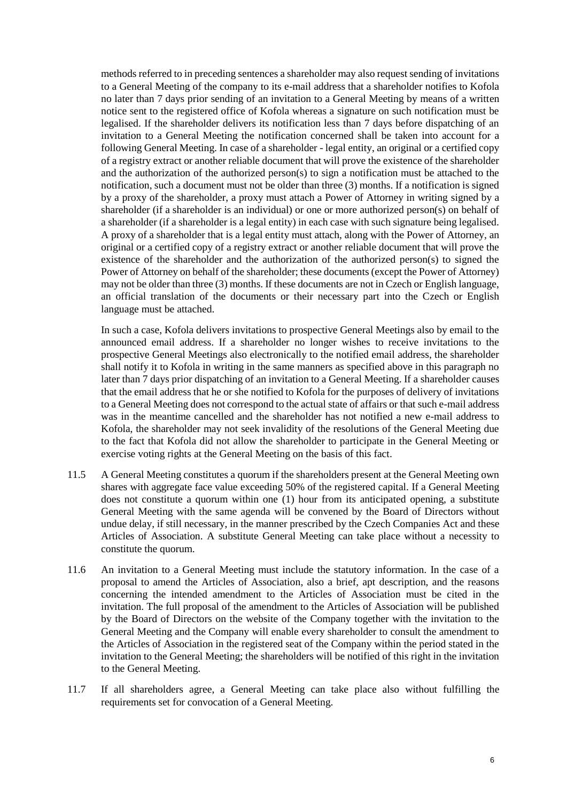methods referred to in preceding sentences a shareholder may also request sending of invitations to a General Meeting of the company to its e-mail address that a shareholder notifies to Kofola no later than 7 days prior sending of an invitation to a General Meeting by means of a written notice sent to the registered office of Kofola whereas a signature on such notification must be legalised. If the shareholder delivers its notification less than 7 days before dispatching of an invitation to a General Meeting the notification concerned shall be taken into account for a following General Meeting. In case of a shareholder - legal entity, an original or a certified copy of a registry extract or another reliable document that will prove the existence of the shareholder and the authorization of the authorized person(s) to sign a notification must be attached to the notification, such a document must not be older than three (3) months. If a notification is signed by a proxy of the shareholder, a proxy must attach a Power of Attorney in writing signed by a shareholder (if a shareholder is an individual) or one or more authorized person(s) on behalf of a shareholder (if a shareholder is a legal entity) in each case with such signature being legalised. A proxy of a shareholder that is a legal entity must attach, along with the Power of Attorney, an original or a certified copy of a registry extract or another reliable document that will prove the existence of the shareholder and the authorization of the authorized person(s) to signed the Power of Attorney on behalf of the shareholder; these documents (except the Power of Attorney) may not be older than three (3) months. If these documents are not in Czech or English language, an official translation of the documents or their necessary part into the Czech or English language must be attached.

In such a case, Kofola delivers invitations to prospective General Meetings also by email to the announced email address. If a shareholder no longer wishes to receive invitations to the prospective General Meetings also electronically to the notified email address, the shareholder shall notify it to Kofola in writing in the same manners as specified above in this paragraph no later than 7 days prior dispatching of an invitation to a General Meeting. If a shareholder causes that the email address that he or she notified to Kofola for the purposes of delivery of invitations to a General Meeting does not correspond to the actual state of affairs or that such e-mail address was in the meantime cancelled and the shareholder has not notified a new e-mail address to Kofola, the shareholder may not seek invalidity of the resolutions of the General Meeting due to the fact that Kofola did not allow the shareholder to participate in the General Meeting or exercise voting rights at the General Meeting on the basis of this fact.

- 11.5 A General Meeting constitutes a quorum if the shareholders present at the General Meeting own shares with aggregate face value exceeding 50% of the registered capital. If a General Meeting does not constitute a quorum within one (1) hour from its anticipated opening, a substitute General Meeting with the same agenda will be convened by the Board of Directors without undue delay, if still necessary, in the manner prescribed by the Czech Companies Act and these Articles of Association. A substitute General Meeting can take place without a necessity to constitute the quorum.
- 11.6 An invitation to a General Meeting must include the statutory information. In the case of a proposal to amend the Articles of Association, also a brief, apt description, and the reasons concerning the intended amendment to the Articles of Association must be cited in the invitation. The full proposal of the amendment to the Articles of Association will be published by the Board of Directors on the website of the Company together with the invitation to the General Meeting and the Company will enable every shareholder to consult the amendment to the Articles of Association in the registered seat of the Company within the period stated in the invitation to the General Meeting; the shareholders will be notified of this right in the invitation to the General Meeting.
- 11.7 If all shareholders agree, a General Meeting can take place also without fulfilling the requirements set for convocation of a General Meeting.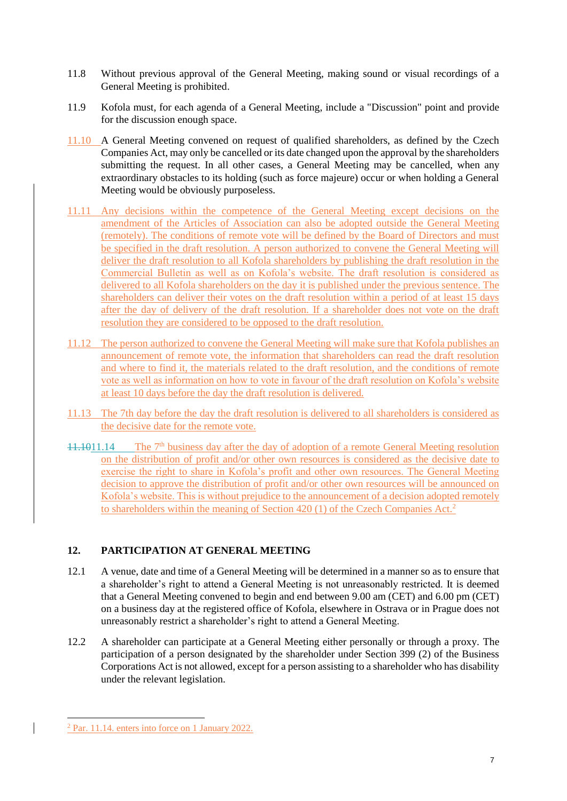- 11.8 Without previous approval of the General Meeting, making sound or visual recordings of a General Meeting is prohibited.
- 11.9 Kofola must, for each agenda of a General Meeting, include a "Discussion" point and provide for the discussion enough space.
- 11.10 A General Meeting convened on request of qualified shareholders, as defined by the Czech Companies Act, may only be cancelled or its date changed upon the approval by the shareholders submitting the request. In all other cases, a General Meeting may be cancelled, when any extraordinary obstacles to its holding (such as force majeure) occur or when holding a General Meeting would be obviously purposeless.
- 11.11 Any decisions within the competence of the General Meeting except decisions on the amendment of the Articles of Association can also be adopted outside the General Meeting (remotely). The conditions of remote vote will be defined by the Board of Directors and must be specified in the draft resolution. A person authorized to convene the General Meeting will deliver the draft resolution to all Kofola shareholders by publishing the draft resolution in the Commercial Bulletin as well as on Kofola's website. The draft resolution is considered as delivered to all Kofola shareholders on the day it is published under the previous sentence. The shareholders can deliver their votes on the draft resolution within a period of at least 15 days after the day of delivery of the draft resolution. If a shareholder does not vote on the draft resolution they are considered to be opposed to the draft resolution.
- 11.12 The person authorized to convene the General Meeting will make sure that Kofola publishes an announcement of remote vote, the information that shareholders can read the draft resolution and where to find it, the materials related to the draft resolution, and the conditions of remote vote as well as information on how to vote in favour of the draft resolution on Kofola's website at least 10 days before the day the draft resolution is delivered.
- 11.13 The 7th day before the day the draft resolution is delivered to all shareholders is considered as the decisive date for the remote vote.
- 11.1011.14 The 7<sup>th</sup> business day after the day of adoption of a remote General Meeting resolution on the distribution of profit and/or other own resources is considered as the decisive date to exercise the right to share in Kofola's profit and other own resources. The General Meeting decision to approve the distribution of profit and/or other own resources will be announced on Kofola's website. This is without prejudice to the announcement of a decision adopted remotely to shareholders within the meaning of Section 420 (1) of the Czech Companies Act.<sup>2</sup>

# **12. PARTICIPATION AT GENERAL MEETING**

- 12.1 A venue, date and time of a General Meeting will be determined in a manner so as to ensure that a shareholder's right to attend a General Meeting is not unreasonably restricted. It is deemed that a General Meeting convened to begin and end between 9.00 am (CET) and 6.00 pm (CET) on a business day at the registered office of Kofola, elsewhere in Ostrava or in Prague does not unreasonably restrict a shareholder's right to attend a General Meeting.
- 12.2 A shareholder can participate at a General Meeting either personally or through a proxy. The participation of a person designated by the shareholder under Section 399 (2) of the Business Corporations Act is not allowed, except for a person assisting to a shareholder who has disability under the relevant legislation.

1

<sup>2</sup> Par. 11.14. enters into force on 1 January 2022.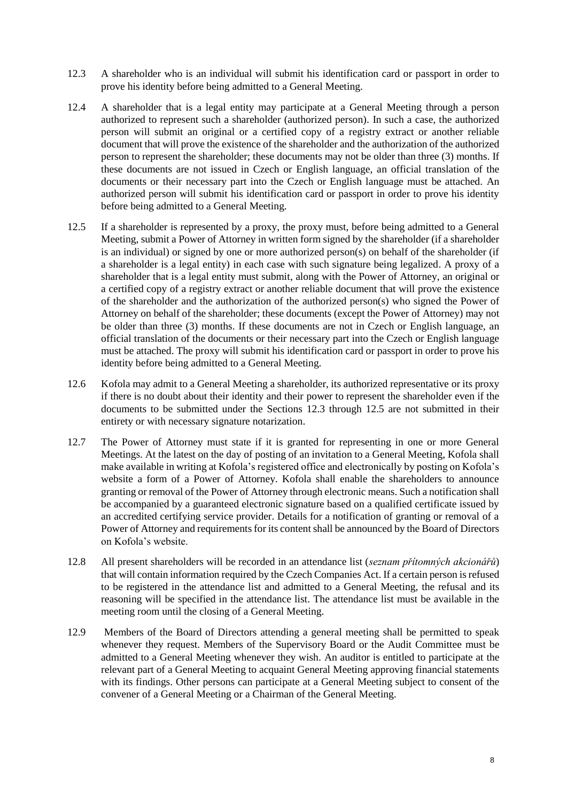- <span id="page-7-0"></span>12.3 A shareholder who is an individual will submit his identification card or passport in order to prove his identity before being admitted to a General Meeting.
- 12.4 A shareholder that is a legal entity may participate at a General Meeting through a person authorized to represent such a shareholder (authorized person). In such a case, the authorized person will submit an original or a certified copy of a registry extract or another reliable document that will prove the existence of the shareholder and the authorization of the authorized person to represent the shareholder; these documents may not be older than three (3) months. If these documents are not issued in Czech or English language, an official translation of the documents or their necessary part into the Czech or English language must be attached. An authorized person will submit his identification card or passport in order to prove his identity before being admitted to a General Meeting.
- <span id="page-7-1"></span>12.5 If a shareholder is represented by a proxy, the proxy must, before being admitted to a General Meeting, submit a Power of Attorney in written form signed by the shareholder (if a shareholder is an individual) or signed by one or more authorized person(s) on behalf of the shareholder (if a shareholder is a legal entity) in each case with such signature being legalized. A proxy of a shareholder that is a legal entity must submit, along with the Power of Attorney, an original or a certified copy of a registry extract or another reliable document that will prove the existence of the shareholder and the authorization of the authorized person(s) who signed the Power of Attorney on behalf of the shareholder; these documents (except the Power of Attorney) may not be older than three (3) months. If these documents are not in Czech or English language, an official translation of the documents or their necessary part into the Czech or English language must be attached. The proxy will submit his identification card or passport in order to prove his identity before being admitted to a General Meeting.
- 12.6 Kofola may admit to a General Meeting a shareholder, its authorized representative or its proxy if there is no doubt about their identity and their power to represent the shareholder even if the documents to be submitted under the Sections [12.3](#page-7-0) through [12.5](#page-7-1) are not submitted in their entirety or with necessary signature notarization.
- 12.7 The Power of Attorney must state if it is granted for representing in one or more General Meetings. At the latest on the day of posting of an invitation to a General Meeting, Kofola shall make available in writing at Kofola's registered office and electronically by posting on Kofola's website a form of a Power of Attorney. Kofola shall enable the shareholders to announce granting or removal of the Power of Attorney through electronic means. Such a notification shall be accompanied by a guaranteed electronic signature based on a qualified certificate issued by an accredited certifying service provider. Details for a notification of granting or removal of a Power of Attorney and requirements for its content shall be announced by the Board of Directors on Kofola's website.
- 12.8 All present shareholders will be recorded in an attendance list (*seznam přítomných akcionářů*) that will contain information required by the Czech Companies Act. If a certain person is refused to be registered in the attendance list and admitted to a General Meeting, the refusal and its reasoning will be specified in the attendance list. The attendance list must be available in the meeting room until the closing of a General Meeting.
- 12.9 Members of the Board of Directors attending a general meeting shall be permitted to speak whenever they request. Members of the Supervisory Board or the Audit Committee must be admitted to a General Meeting whenever they wish. An auditor is entitled to participate at the relevant part of a General Meeting to acquaint General Meeting approving financial statements with its findings. Other persons can participate at a General Meeting subject to consent of the convener of a General Meeting or a Chairman of the General Meeting.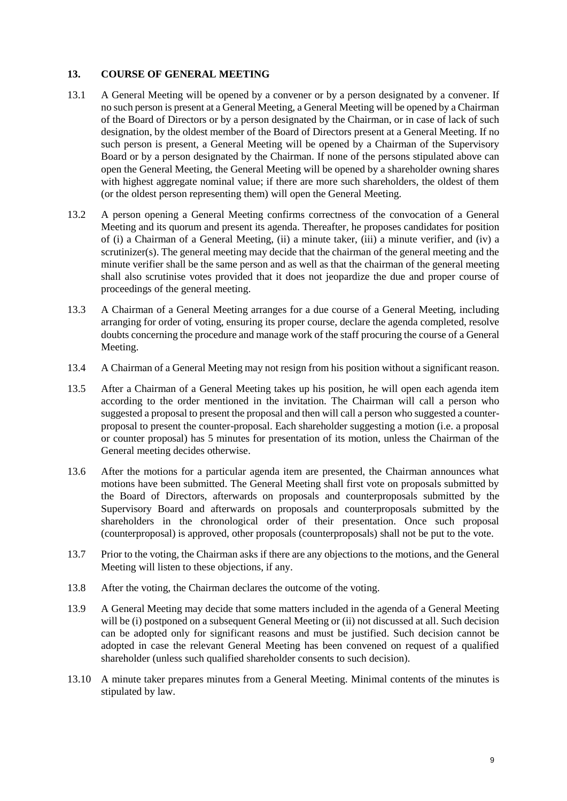#### **13. COURSE OF GENERAL MEETING**

- 13.1 A General Meeting will be opened by a convener or by a person designated by a convener. If no such person is present at a General Meeting, a General Meeting will be opened by a Chairman of the Board of Directors or by a person designated by the Chairman, or in case of lack of such designation, by the oldest member of the Board of Directors present at a General Meeting. If no such person is present, a General Meeting will be opened by a Chairman of the Supervisory Board or by a person designated by the Chairman. If none of the persons stipulated above can open the General Meeting, the General Meeting will be opened by a shareholder owning shares with highest aggregate nominal value; if there are more such shareholders, the oldest of them (or the oldest person representing them) will open the General Meeting.
- 13.2 A person opening a General Meeting confirms correctness of the convocation of a General Meeting and its quorum and present its agenda. Thereafter, he proposes candidates for position of (i) a Chairman of a General Meeting, (ii) a minute taker, (iii) a minute verifier, and (iv) a scrutinizer(s). The general meeting may decide that the chairman of the general meeting and the minute verifier shall be the same person and as well as that the chairman of the general meeting shall also scrutinise votes provided that it does not jeopardize the due and proper course of proceedings of the general meeting.
- 13.3 A Chairman of a General Meeting arranges for a due course of a General Meeting, including arranging for order of voting, ensuring its proper course, declare the agenda completed, resolve doubts concerning the procedure and manage work of the staff procuring the course of a General Meeting.
- 13.4 A Chairman of a General Meeting may not resign from his position without a significant reason.
- 13.5 After a Chairman of a General Meeting takes up his position, he will open each agenda item according to the order mentioned in the invitation. The Chairman will call a person who suggested a proposal to present the proposal and then will call a person who suggested a counterproposal to present the counter-proposal. Each shareholder suggesting a motion (i.e. a proposal or counter proposal) has 5 minutes for presentation of its motion, unless the Chairman of the General meeting decides otherwise.
- 13.6 After the motions for a particular agenda item are presented, the Chairman announces what motions have been submitted. The General Meeting shall first vote on proposals submitted by the Board of Directors, afterwards on proposals and counterproposals submitted by the Supervisory Board and afterwards on proposals and counterproposals submitted by the shareholders in the chronological order of their presentation. Once such proposal (counterproposal) is approved, other proposals (counterproposals) shall not be put to the vote.
- 13.7 Prior to the voting, the Chairman asks if there are any objections to the motions, and the General Meeting will listen to these objections, if any.
- 13.8 After the voting, the Chairman declares the outcome of the voting.
- 13.9 A General Meeting may decide that some matters included in the agenda of a General Meeting will be (i) postponed on a subsequent General Meeting or (ii) not discussed at all. Such decision can be adopted only for significant reasons and must be justified. Such decision cannot be adopted in case the relevant General Meeting has been convened on request of a qualified shareholder (unless such qualified shareholder consents to such decision).
- 13.10 A minute taker prepares minutes from a General Meeting. Minimal contents of the minutes is stipulated by law.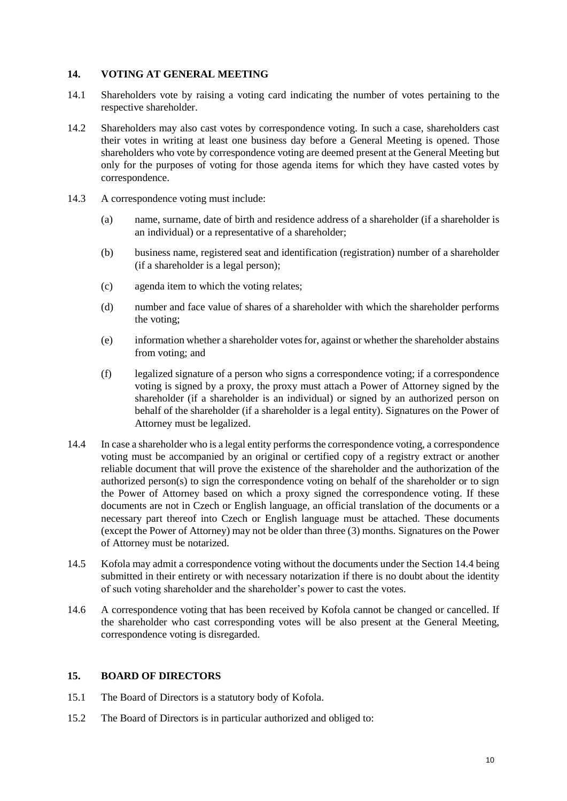#### **14. VOTING AT GENERAL MEETING**

- 14.1 Shareholders vote by raising a voting card indicating the number of votes pertaining to the respective shareholder.
- 14.2 Shareholders may also cast votes by correspondence voting. In such a case, shareholders cast their votes in writing at least one business day before a General Meeting is opened. Those shareholders who vote by correspondence voting are deemed present at the General Meeting but only for the purposes of voting for those agenda items for which they have casted votes by correspondence.
- 14.3 A correspondence voting must include:
	- (a) name, surname, date of birth and residence address of a shareholder (if a shareholder is an individual) or a representative of a shareholder;
	- (b) business name, registered seat and identification (registration) number of a shareholder (if a shareholder is a legal person);
	- (c) agenda item to which the voting relates;
	- (d) number and face value of shares of a shareholder with which the shareholder performs the voting;
	- (e) information whether a shareholder votes for, against or whether the shareholder abstains from voting; and
	- (f) legalized signature of a person who signs a correspondence voting; if a correspondence voting is signed by a proxy, the proxy must attach a Power of Attorney signed by the shareholder (if a shareholder is an individual) or signed by an authorized person on behalf of the shareholder (if a shareholder is a legal entity). Signatures on the Power of Attorney must be legalized.
- <span id="page-9-0"></span>14.4 In case a shareholder who is a legal entity performs the correspondence voting, a correspondence voting must be accompanied by an original or certified copy of a registry extract or another reliable document that will prove the existence of the shareholder and the authorization of the authorized person(s) to sign the correspondence voting on behalf of the shareholder or to sign the Power of Attorney based on which a proxy signed the correspondence voting. If these documents are not in Czech or English language, an official translation of the documents or a necessary part thereof into Czech or English language must be attached. These documents (except the Power of Attorney) may not be older than three (3) months. Signatures on the Power of Attorney must be notarized.
- 14.5 Kofola may admit a correspondence voting without the documents under the Section [14.4](#page-9-0) being submitted in their entirety or with necessary notarization if there is no doubt about the identity of such voting shareholder and the shareholder's power to cast the votes.
- 14.6 A correspondence voting that has been received by Kofola cannot be changed or cancelled. If the shareholder who cast corresponding votes will be also present at the General Meeting, correspondence voting is disregarded.

# **15. BOARD OF DIRECTORS**

- 15.1 The Board of Directors is a statutory body of Kofola.
- 15.2 The Board of Directors is in particular authorized and obliged to: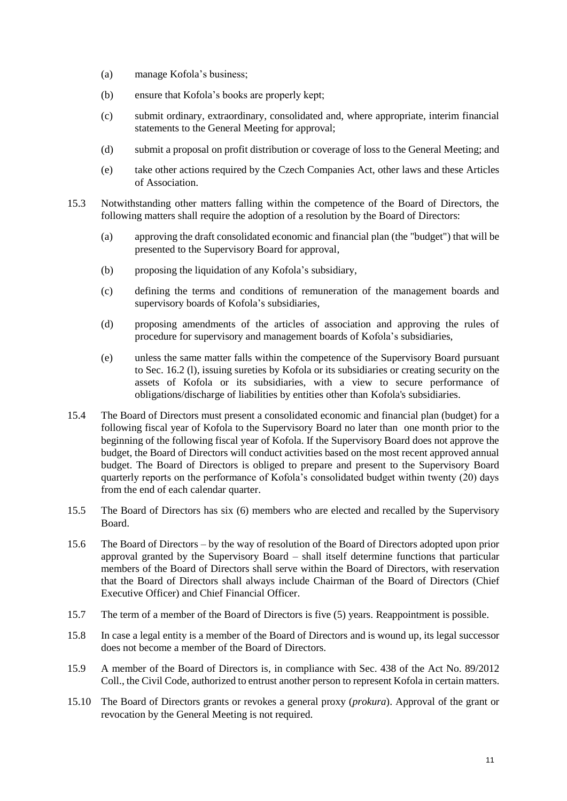- (a) manage Kofola's business;
- (b) ensure that Kofola's books are properly kept;
- (c) submit ordinary, extraordinary, consolidated and, where appropriate, interim financial statements to the General Meeting for approval;
- (d) submit a proposal on profit distribution or coverage of loss to the General Meeting; and
- (e) take other actions required by the Czech Companies Act, other laws and these Articles of Association.
- 15.3 Notwithstanding other matters falling within the competence of the Board of Directors, the following matters shall require the adoption of a resolution by the Board of Directors:
	- (a) approving the draft consolidated economic and financial plan (the "budget") that will be presented to the Supervisory Board for approval,
	- (b) proposing the liquidation of any Kofola's subsidiary,
	- (c) defining the terms and conditions of remuneration of the management boards and supervisory boards of Kofola's subsidiaries,
	- (d) proposing amendments of the articles of association and approving the rules of procedure for supervisory and management boards of Kofola's subsidiaries,
	- (e) unless the same matter falls within the competence of the Supervisory Board pursuant to Sec. [16.2](#page-12-0) (l), issuing sureties by Kofola or its subsidiaries or creating security on the assets of Kofola or its subsidiaries, with a view to secure performance of obligations/discharge of liabilities by entities other than Kofola's subsidiaries.
- 15.4 The Board of Directors must present a consolidated economic and financial plan (budget) for a following fiscal year of Kofola to the Supervisory Board no later than one month prior to the beginning of the following fiscal year of Kofola. If the Supervisory Board does not approve the budget, the Board of Directors will conduct activities based on the most recent approved annual budget. The Board of Directors is obliged to prepare and present to the Supervisory Board quarterly reports on the performance of Kofola's consolidated budget within twenty (20) days from the end of each calendar quarter.
- 15.5 The Board of Directors has six (6) members who are elected and recalled by the Supervisory Board.
- 15.6 The Board of Directors by the way of resolution of the Board of Directors adopted upon prior approval granted by the Supervisory Board – shall itself determine functions that particular members of the Board of Directors shall serve within the Board of Directors, with reservation that the Board of Directors shall always include Chairman of the Board of Directors (Chief Executive Officer) and Chief Financial Officer.
- 15.7 The term of a member of the Board of Directors is five (5) years. Reappointment is possible.
- 15.8 In case a legal entity is a member of the Board of Directors and is wound up, its legal successor does not become a member of the Board of Directors.
- 15.9 A member of the Board of Directors is, in compliance with Sec. 438 of the Act No. 89/2012 Coll., the Civil Code, authorized to entrust another person to represent Kofola in certain matters.
- 15.10 The Board of Directors grants or revokes a general proxy (*prokura*). Approval of the grant or revocation by the General Meeting is not required.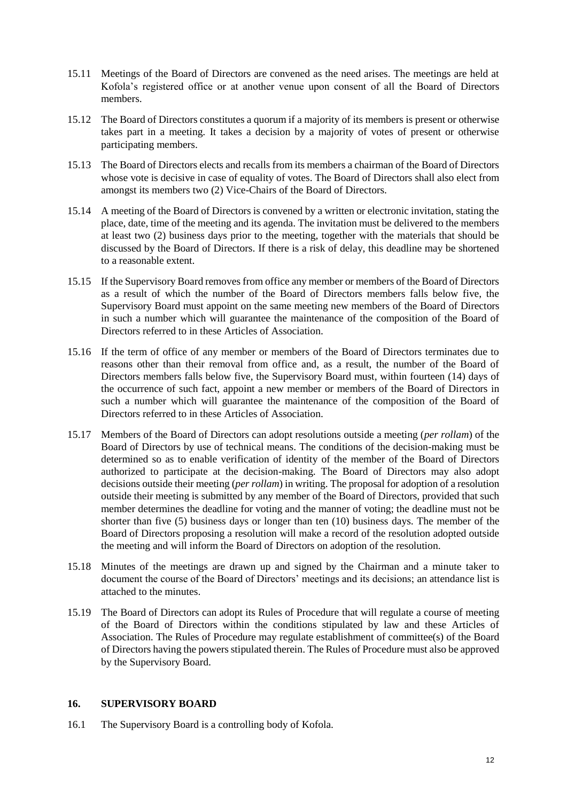- 15.11 Meetings of the Board of Directors are convened as the need arises. The meetings are held at Kofola's registered office or at another venue upon consent of all the Board of Directors members.
- 15.12 The Board of Directors constitutes a quorum if a majority of its members is present or otherwise takes part in a meeting. It takes a decision by a majority of votes of present or otherwise participating members.
- 15.13 The Board of Directors elects and recalls from its members a chairman of the Board of Directors whose vote is decisive in case of equality of votes. The Board of Directors shall also elect from amongst its members two (2) Vice-Chairs of the Board of Directors.
- 15.14 A meeting of the Board of Directors is convened by a written or electronic invitation, stating the place, date, time of the meeting and its agenda. The invitation must be delivered to the members at least two (2) business days prior to the meeting, together with the materials that should be discussed by the Board of Directors. If there is a risk of delay, this deadline may be shortened to a reasonable extent.
- 15.15 If the Supervisory Board removes from office any member or members of the Board of Directors as a result of which the number of the Board of Directors members falls below five, the Supervisory Board must appoint on the same meeting new members of the Board of Directors in such a number which will guarantee the maintenance of the composition of the Board of Directors referred to in these Articles of Association.
- 15.16 If the term of office of any member or members of the Board of Directors terminates due to reasons other than their removal from office and, as a result, the number of the Board of Directors members falls below five, the Supervisory Board must, within fourteen (14) days of the occurrence of such fact, appoint a new member or members of the Board of Directors in such a number which will guarantee the maintenance of the composition of the Board of Directors referred to in these Articles of Association.
- 15.17 Members of the Board of Directors can adopt resolutions outside a meeting (*per rollam*) of the Board of Directors by use of technical means. The conditions of the decision-making must be determined so as to enable verification of identity of the member of the Board of Directors authorized to participate at the decision-making. The Board of Directors may also adopt decisions outside their meeting (*per rollam*) in writing. The proposal for adoption of a resolution outside their meeting is submitted by any member of the Board of Directors, provided that such member determines the deadline for voting and the manner of voting; the deadline must not be shorter than five (5) business days or longer than ten (10) business days. The member of the Board of Directors proposing a resolution will make a record of the resolution adopted outside the meeting and will inform the Board of Directors on adoption of the resolution.
- 15.18 Minutes of the meetings are drawn up and signed by the Chairman and a minute taker to document the course of the Board of Directors' meetings and its decisions; an attendance list is attached to the minutes.
- 15.19 The Board of Directors can adopt its Rules of Procedure that will regulate a course of meeting of the Board of Directors within the conditions stipulated by law and these Articles of Association. The Rules of Procedure may regulate establishment of committee(s) of the Board of Directors having the powers stipulated therein. The Rules of Procedure must also be approved by the Supervisory Board.

# **16. SUPERVISORY BOARD**

16.1 The Supervisory Board is a controlling body of Kofola.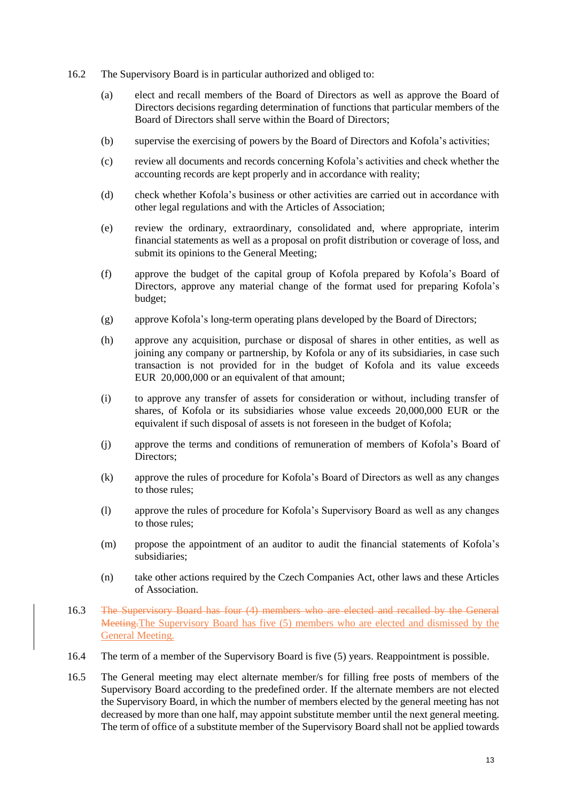- <span id="page-12-0"></span>16.2 The Supervisory Board is in particular authorized and obliged to:
	- (a) elect and recall members of the Board of Directors as well as approve the Board of Directors decisions regarding determination of functions that particular members of the Board of Directors shall serve within the Board of Directors;
	- (b) supervise the exercising of powers by the Board of Directors and Kofola's activities;
	- (c) review all documents and records concerning Kofola's activities and check whether the accounting records are kept properly and in accordance with reality;
	- (d) check whether Kofola's business or other activities are carried out in accordance with other legal regulations and with the Articles of Association;
	- (e) review the ordinary, extraordinary, consolidated and, where appropriate, interim financial statements as well as a proposal on profit distribution or coverage of loss, and submit its opinions to the General Meeting;
	- (f) approve the budget of the capital group of Kofola prepared by Kofola's Board of Directors, approve any material change of the format used for preparing Kofola's budget;
	- (g) approve Kofola's long-term operating plans developed by the Board of Directors;
	- (h) approve any acquisition, purchase or disposal of shares in other entities, as well as joining any company or partnership, by Kofola or any of its subsidiaries, in case such transaction is not provided for in the budget of Kofola and its value exceeds EUR 20,000,000 or an equivalent of that amount;
	- (i) to approve any transfer of assets for consideration or without, including transfer of shares, of Kofola or its subsidiaries whose value exceeds 20,000,000 EUR or the equivalent if such disposal of assets is not foreseen in the budget of Kofola;
	- (j) approve the terms and conditions of remuneration of members of Kofola's Board of Directors;
	- (k) approve the rules of procedure for Kofola's Board of Directors as well as any changes to those rules;
	- (l) approve the rules of procedure for Kofola's Supervisory Board as well as any changes to those rules;
	- (m) propose the appointment of an auditor to audit the financial statements of Kofola's subsidiaries;
	- (n) take other actions required by the Czech Companies Act, other laws and these Articles of Association.
- 16.3 The Supervisory Board has four (4) members who are elected and recalled by the General Meeting.The Supervisory Board has five (5) members who are elected and dismissed by the General Meeting.
- 16.4 The term of a member of the Supervisory Board is five (5) years. Reappointment is possible.
- 16.5 The General meeting may elect alternate member/s for filling free posts of members of the Supervisory Board according to the predefined order. If the alternate members are not elected the Supervisory Board, in which the number of members elected by the general meeting has not decreased by more than one half, may appoint substitute member until the next general meeting. The term of office of a substitute member of the Supervisory Board shall not be applied towards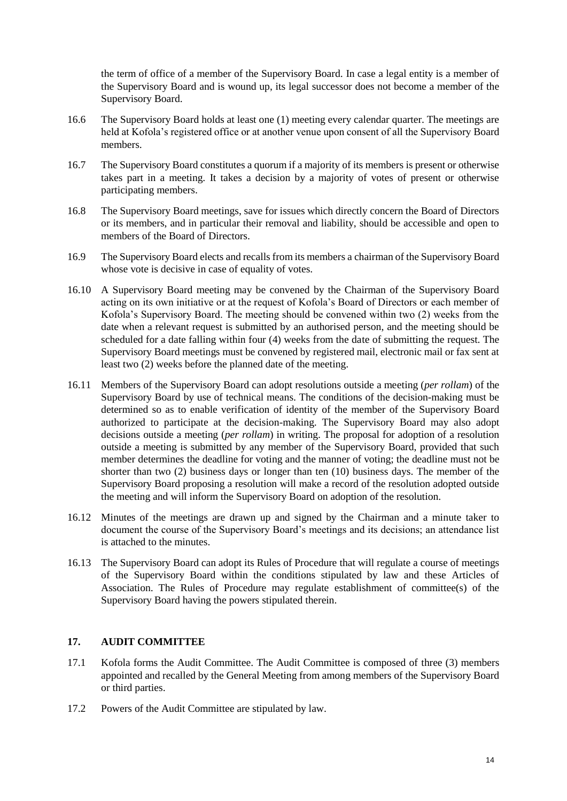the term of office of a member of the Supervisory Board. In case a legal entity is a member of the Supervisory Board and is wound up, its legal successor does not become a member of the Supervisory Board.

- 16.6 The Supervisory Board holds at least one (1) meeting every calendar quarter. The meetings are held at Kofola's registered office or at another venue upon consent of all the Supervisory Board members.
- 16.7 The Supervisory Board constitutes a quorum if a majority of its members is present or otherwise takes part in a meeting. It takes a decision by a majority of votes of present or otherwise participating members.
- 16.8 The Supervisory Board meetings, save for issues which directly concern the Board of Directors or its members, and in particular their removal and liability, should be accessible and open to members of the Board of Directors.
- 16.9 The Supervisory Board elects and recalls from its members a chairman of the Supervisory Board whose vote is decisive in case of equality of votes.
- 16.10 A Supervisory Board meeting may be convened by the Chairman of the Supervisory Board acting on its own initiative or at the request of Kofola's Board of Directors or each member of Kofola's Supervisory Board. The meeting should be convened within two (2) weeks from the date when a relevant request is submitted by an authorised person, and the meeting should be scheduled for a date falling within four (4) weeks from the date of submitting the request. The Supervisory Board meetings must be convened by registered mail, electronic mail or fax sent at least two (2) weeks before the planned date of the meeting.
- 16.11 Members of the Supervisory Board can adopt resolutions outside a meeting (*per rollam*) of the Supervisory Board by use of technical means. The conditions of the decision-making must be determined so as to enable verification of identity of the member of the Supervisory Board authorized to participate at the decision-making. The Supervisory Board may also adopt decisions outside a meeting (*per rollam*) in writing. The proposal for adoption of a resolution outside a meeting is submitted by any member of the Supervisory Board, provided that such member determines the deadline for voting and the manner of voting; the deadline must not be shorter than two (2) business days or longer than ten (10) business days. The member of the Supervisory Board proposing a resolution will make a record of the resolution adopted outside the meeting and will inform the Supervisory Board on adoption of the resolution.
- 16.12 Minutes of the meetings are drawn up and signed by the Chairman and a minute taker to document the course of the Supervisory Board's meetings and its decisions; an attendance list is attached to the minutes.
- 16.13 The Supervisory Board can adopt its Rules of Procedure that will regulate a course of meetings of the Supervisory Board within the conditions stipulated by law and these Articles of Association. The Rules of Procedure may regulate establishment of committee(s) of the Supervisory Board having the powers stipulated therein.

# **17. AUDIT COMMITTEE**

- 17.1 Kofola forms the Audit Committee. The Audit Committee is composed of three (3) members appointed and recalled by the General Meeting from among members of the Supervisory Board or third parties.
- 17.2 Powers of the Audit Committee are stipulated by law.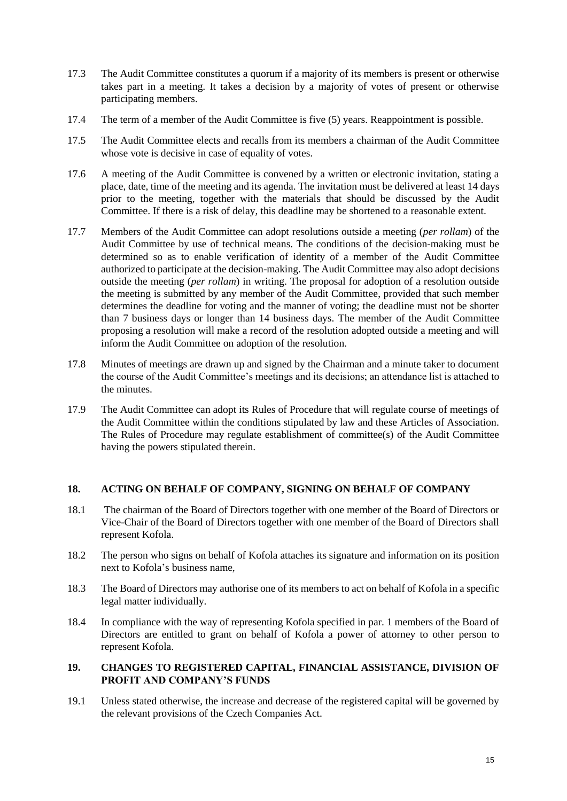- 17.3 The Audit Committee constitutes a quorum if a majority of its members is present or otherwise takes part in a meeting. It takes a decision by a majority of votes of present or otherwise participating members.
- 17.4 The term of a member of the Audit Committee is five (5) years. Reappointment is possible.
- 17.5 The Audit Committee elects and recalls from its members a chairman of the Audit Committee whose vote is decisive in case of equality of votes.
- 17.6 A meeting of the Audit Committee is convened by a written or electronic invitation, stating a place, date, time of the meeting and its agenda. The invitation must be delivered at least 14 days prior to the meeting, together with the materials that should be discussed by the Audit Committee. If there is a risk of delay, this deadline may be shortened to a reasonable extent.
- 17.7 Members of the Audit Committee can adopt resolutions outside a meeting (*per rollam*) of the Audit Committee by use of technical means. The conditions of the decision-making must be determined so as to enable verification of identity of a member of the Audit Committee authorized to participate at the decision-making. The Audit Committee may also adopt decisions outside the meeting (*per rollam*) in writing. The proposal for adoption of a resolution outside the meeting is submitted by any member of the Audit Committee, provided that such member determines the deadline for voting and the manner of voting; the deadline must not be shorter than 7 business days or longer than 14 business days. The member of the Audit Committee proposing a resolution will make a record of the resolution adopted outside a meeting and will inform the Audit Committee on adoption of the resolution.
- 17.8 Minutes of meetings are drawn up and signed by the Chairman and a minute taker to document the course of the Audit Committee's meetings and its decisions; an attendance list is attached to the minutes.
- 17.9 The Audit Committee can adopt its Rules of Procedure that will regulate course of meetings of the Audit Committee within the conditions stipulated by law and these Articles of Association. The Rules of Procedure may regulate establishment of committee(s) of the Audit Committee having the powers stipulated therein.

# **18. ACTING ON BEHALF OF COMPANY, SIGNING ON BEHALF OF COMPANY**

- 18.1 The chairman of the Board of Directors together with one member of the Board of Directors or Vice-Chair of the Board of Directors together with one member of the Board of Directors shall represent Kofola.
- 18.2 The person who signs on behalf of Kofola attaches its signature and information on its position next to Kofola's business name,
- 18.3 The Board of Directors may authorise one of its members to act on behalf of Kofola in a specific legal matter individually.
- 18.4 In compliance with the way of representing Kofola specified in par. 1 members of the Board of Directors are entitled to grant on behalf of Kofola a power of attorney to other person to represent Kofola.

#### **19. CHANGES TO REGISTERED CAPITAL, FINANCIAL ASSISTANCE, DIVISION OF PROFIT AND COMPANY'S FUNDS**

19.1 Unless stated otherwise, the increase and decrease of the registered capital will be governed by the relevant provisions of the Czech Companies Act.